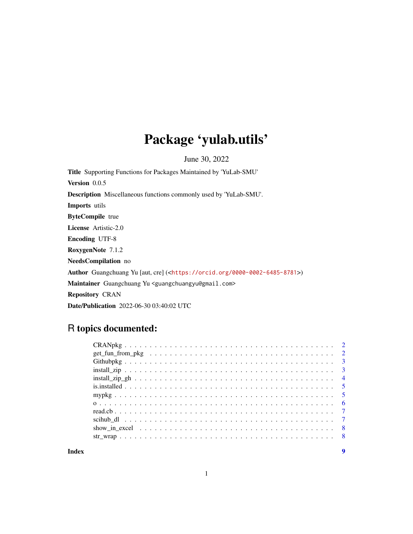## Package 'yulab.utils'

June 30, 2022

Title Supporting Functions for Packages Maintained by 'YuLab-SMU' Version 0.0.5 Description Miscellaneous functions commonly used by 'YuLab-SMU'. Imports utils ByteCompile true License Artistic-2.0 Encoding UTF-8 RoxygenNote 7.1.2 NeedsCompilation no Author Guangchuang Yu [aut, cre] (<<https://orcid.org/0000-0002-6485-8781>>) Maintainer Guangchuang Yu <guangchuangyu@gmail.com> Repository CRAN Date/Publication 2022-06-30 03:40:02 UTC

## R topics documented:

| show in excel $\dots \dots \dots \dots \dots \dots \dots \dots \dots \dots \dots \dots \dots \dots \dots \dots$ |  |
|-----------------------------------------------------------------------------------------------------------------|--|
|                                                                                                                 |  |
|                                                                                                                 |  |

**Index** [9](#page-8-0)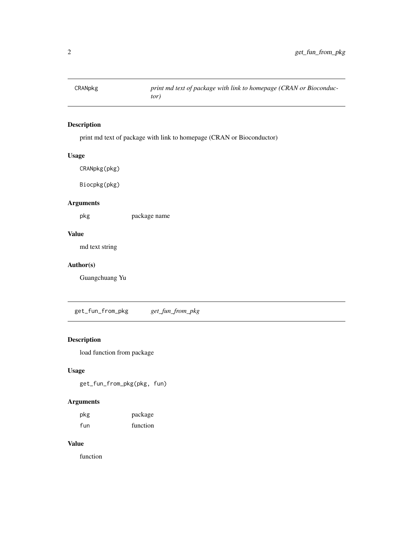<span id="page-1-0"></span>

## Description

print md text of package with link to homepage (CRAN or Bioconductor)

## Usage

CRANpkg(pkg)

Biocpkg(pkg)

## Arguments

pkg package name

## Value

md text string

## Author(s)

Guangchuang Yu

get\_fun\_from\_pkg *get\_fun\_from\_pkg*

## Description

load function from package

## Usage

get\_fun\_from\_pkg(pkg, fun)

## Arguments

| pkg | package  |
|-----|----------|
| fun | function |

#### Value

function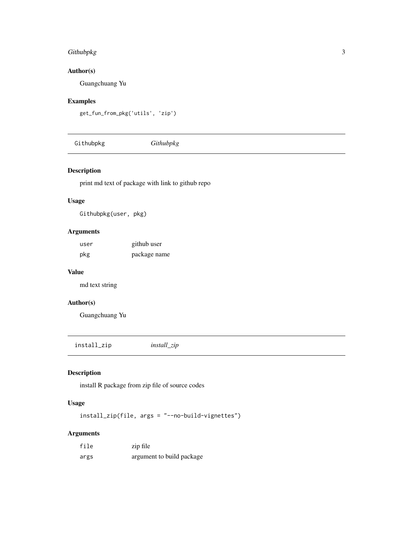## <span id="page-2-0"></span>Githubpkg 3

## Author(s)

Guangchuang Yu

## Examples

```
get_fun_from_pkg('utils', 'zip')
```
Githubpkg *Githubpkg*

#### Description

print md text of package with link to github repo

#### Usage

Githubpkg(user, pkg)

## Arguments

| user | github user  |  |
|------|--------------|--|
| pkg  | package name |  |

#### Value

md text string

## Author(s)

Guangchuang Yu

install\_zip *install\_zip*

## Description

install R package from zip file of source codes

## Usage

install\_zip(file, args = "--no-build-vignettes")

## Arguments

| file | zip file                  |
|------|---------------------------|
| args | argument to build package |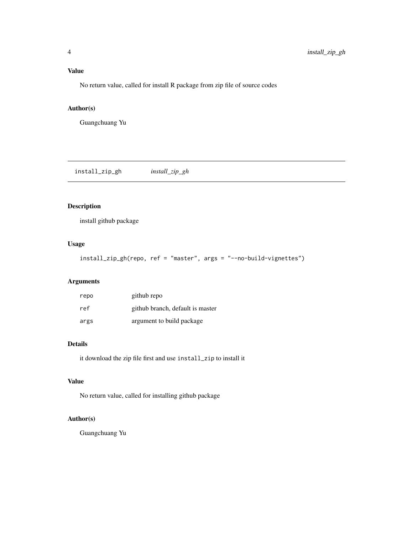## <span id="page-3-0"></span>Value

No return value, called for install R package from zip file of source codes

## Author(s)

Guangchuang Yu

install\_zip\_gh *install\_zip\_gh*

## Description

install github package

## Usage

install\_zip\_gh(repo, ref = "master", args = "--no-build-vignettes")

## Arguments

| repo | github repo                      |
|------|----------------------------------|
| ref  | github branch, default is master |
| args | argument to build package        |

#### Details

it download the zip file first and use install\_zip to install it

#### Value

No return value, called for installing github package

## Author(s)

Guangchuang Yu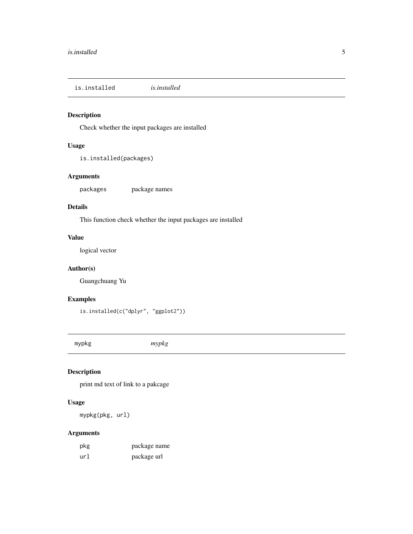<span id="page-4-0"></span>is.installed *is.installed*

## Description

Check whether the input packages are installed

#### Usage

```
is.installed(packages)
```
## Arguments

packages package names

#### Details

This function check whether the input packages are installed

## Value

logical vector

#### Author(s)

Guangchuang Yu

## Examples

```
is.installed(c("dplyr", "ggplot2"))
```
mypkg *mypkg*

## Description

print md text of link to a pakcage

## Usage

mypkg(pkg, url)

## Arguments

| pkg | package name |
|-----|--------------|
| url | package url  |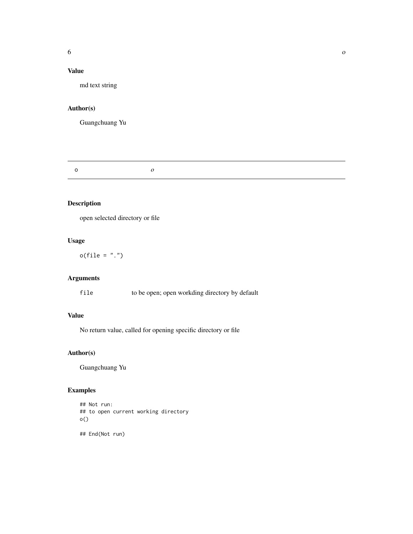## <span id="page-5-0"></span>Value

md text string

## Author(s)

Guangchuang Yu

o *o*

## Description

open selected directory or file

## Usage

 $o(file = "."')$ 

## Arguments

file to be open; open workding directory by default

## Value

No return value, called for opening specific directory or file

## Author(s)

Guangchuang Yu

## Examples

## Not run: ## to open current working directory o()

## End(Not run)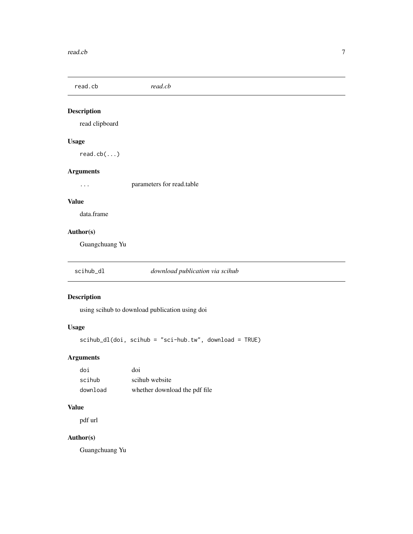<span id="page-6-0"></span>read.cb *read.cb*

## Description

read clipboard

## Usage

read.cb(...)

## Arguments

... parameters for read.table

#### Value

data.frame

## Author(s)

Guangchuang Yu

scihub\_dl *download publication via scihub*

## Description

using scihub to download publication using doi

## Usage

scihub\_dl(doi, scihub = "sci-hub.tw", download = TRUE)

## Arguments

| doi      | doi                           |
|----------|-------------------------------|
| scihub   | scihub website                |
| download | whether download the pdf file |

## Value

pdf url

## Author(s)

Guangchuang Yu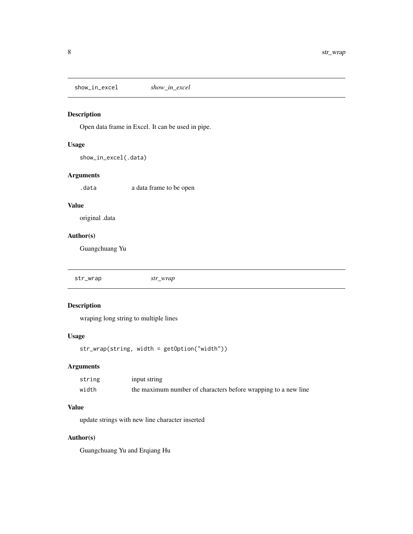<span id="page-7-0"></span>show\_in\_excel *show\_in\_excel*

## Description

Open data frame in Excel. It can be used in pipe.

## Usage

show\_in\_excel(.data)

## Arguments

.data **a** data frame to be open

## Value

original .data

## Author(s)

Guangchuang Yu

str\_wrap *str\_wrap*

## Description

wraping long string to multiple lines

#### Usage

str\_wrap(string, width = getOption("width"))

## Arguments

| string | input string                                                   |
|--------|----------------------------------------------------------------|
| width  | the maximum number of characters before wrapping to a new line |

#### Value

update strings with new line character inserted

## Author(s)

Guangchuang Yu and Erqiang Hu